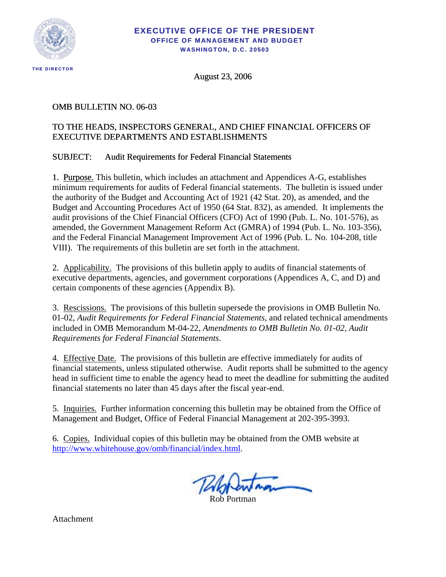

#### **EXECUTIVE OFFICE OF THE PRESIDENT OFFICE OF MANAGEMENT AND BUDGET WASHINGTON, D.C. 20503**

August 23, 2006

### OMB BULLETIN NO. 06-03

### TO THE HEADS, INSPECTORS GENERAL, AND CHIEF FINANCIAL OFFICERS OF EXECUTIVE DEPARTMENTS AND ESTABLISHMENTS

#### SUBJECT: Audit Requirements for Federal Financial Statements

1. Purpose. This bulletin, which includes an attachment and Appendices A-G, establishes minimum requirements for audits of Federal financial statements. The bulletin is issued under the authority of the Budget and Accounting Act of 1921 (42 Stat. 20), as amended, and the Budget and Accounting Procedures Act of 1950 (64 Stat. 832), as amended. It implements the audit provisions of the Chief Financial Officers (CFO) Act of 1990 (Pub. L. No. 101-576), as amended, the Government Management Reform Act (GMRA) of 1994 (Pub. L. No. 103-356), and the Federal Financial Management Improvement Act of 1996 (Pub. L. No. 104-208, title VIII). The requirements of this bulletin are set forth in the attachment.

2. Applicability. The provisions of this bulletin apply to audits of financial statements of executive departments, agencies, and government corporations (Appendices A, C, and D) and certain components of these agencies (Appendix B).

3. Rescissions. The provisions of this bulletin supersede the provisions in OMB Bulletin No. 01-02, *Audit Requirements for Federal Financial Statements*, and related technical amendments included in OMB Memorandum M-04-22, *Amendments to OMB Bulletin No. 01-02, Audit Requirements for Federal Financial Statements*.

4. Effective Date. The provisions of this bulletin are effective immediately for audits of financial statements, unless stipulated otherwise. Audit reports shall be submitted to the agency head in sufficient time to enable the agency head to meet the deadline for submitting the audited financial statements no later than 45 days after the fiscal year-end.

5. Inquiries. Further information concerning this bulletin may be obtained from the Office of Management and Budget, Office of Federal Financial Management at 202-395-3993.

6. Copies. Individual copies of this bulletin may be obtained from the OMB website at <http://www.whitehouse.gov/omb/financial/index.html>.

Rob Portman

Attachment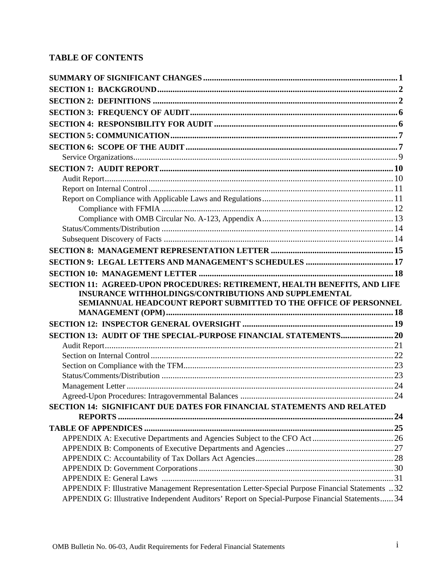# **TABLE OF CONTENTS**

| SECTION 11: AGREED-UPON PROCEDURES: RETIREMENT, HEALTH BENEFITS, AND LIFE                                                        |  |
|----------------------------------------------------------------------------------------------------------------------------------|--|
| <b>INSURANCE WITHHOLDINGS/CONTRIBUTIONS AND SUPPLEMENTAL</b><br>SEMIANNUAL HEADCOUNT REPORT SUBMITTED TO THE OFFICE OF PERSONNEL |  |
|                                                                                                                                  |  |
|                                                                                                                                  |  |
|                                                                                                                                  |  |
|                                                                                                                                  |  |
|                                                                                                                                  |  |
|                                                                                                                                  |  |
|                                                                                                                                  |  |
|                                                                                                                                  |  |
| <b>SECTION 14: SIGNIFICANT DUE DATES FOR FINANCIAL STATEMENTS AND RELATED</b>                                                    |  |
|                                                                                                                                  |  |
|                                                                                                                                  |  |
|                                                                                                                                  |  |
|                                                                                                                                  |  |
|                                                                                                                                  |  |
|                                                                                                                                  |  |
| APPENDIX F: Illustrative Management Representation Letter-Special Purpose Financial Statements 32                                |  |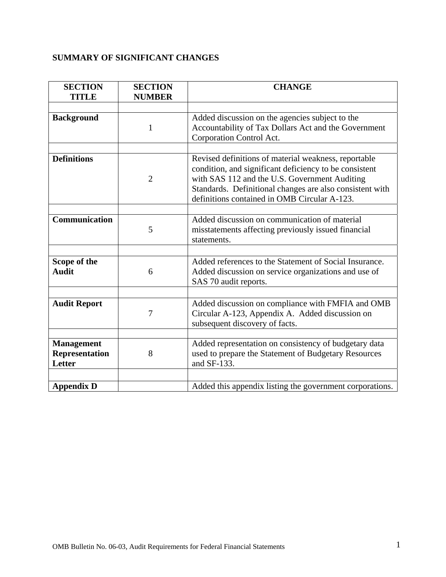# <span id="page-2-0"></span>**SUMMARY OF SIGNIFICANT CHANGES**

| <b>SECTION</b><br><b>TITLE</b>                       | <b>SECTION</b><br><b>NUMBER</b> | <b>CHANGE</b>                                                                                                                                                                                                                                                               |
|------------------------------------------------------|---------------------------------|-----------------------------------------------------------------------------------------------------------------------------------------------------------------------------------------------------------------------------------------------------------------------------|
|                                                      |                                 |                                                                                                                                                                                                                                                                             |
| <b>Background</b>                                    | 1                               | Added discussion on the agencies subject to the<br>Accountability of Tax Dollars Act and the Government<br>Corporation Control Act.                                                                                                                                         |
| <b>Definitions</b>                                   | $\overline{2}$                  | Revised definitions of material weakness, reportable<br>condition, and significant deficiency to be consistent<br>with SAS 112 and the U.S. Government Auditing<br>Standards. Definitional changes are also consistent with<br>definitions contained in OMB Circular A-123. |
| <b>Communication</b>                                 | 5                               | Added discussion on communication of material<br>misstatements affecting previously issued financial                                                                                                                                                                        |
|                                                      |                                 | statements.                                                                                                                                                                                                                                                                 |
| Scope of the<br><b>Audit</b>                         | 6                               | Added references to the Statement of Social Insurance.<br>Added discussion on service organizations and use of<br>SAS 70 audit reports.                                                                                                                                     |
|                                                      |                                 |                                                                                                                                                                                                                                                                             |
| <b>Audit Report</b>                                  | 7                               | Added discussion on compliance with FMFIA and OMB<br>Circular A-123, Appendix A. Added discussion on<br>subsequent discovery of facts.                                                                                                                                      |
|                                                      |                                 |                                                                                                                                                                                                                                                                             |
| <b>Management</b><br><b>Representation</b><br>Letter | 8                               | Added representation on consistency of budgetary data<br>used to prepare the Statement of Budgetary Resources<br>and SF-133.                                                                                                                                                |
|                                                      |                                 |                                                                                                                                                                                                                                                                             |
| <b>Appendix D</b>                                    |                                 | Added this appendix listing the government corporations.                                                                                                                                                                                                                    |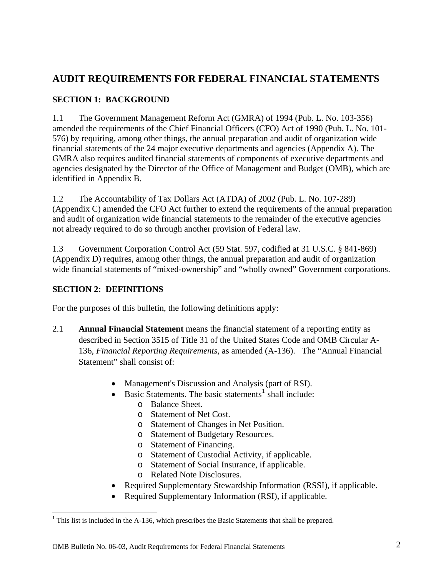# <span id="page-3-0"></span>**AUDIT REQUIREMENTS FOR FEDERAL FINANCIAL STATEMENTS**

## **SECTION 1: BACKGROUND**

1.1 The Government Management Reform Act (GMRA) of 1994 (Pub. L. No. 103-356) amended the requirements of the Chief Financial Officers (CFO) Act of 1990 (Pub. L. No. 101- 576) by requiring, among other things, the annual preparation and audit of organization wide financial statements of the 24 major executive departments and agencies (Appendix A). The GMRA also requires audited financial statements of components of executive departments and agencies designated by the Director of the Office of Management and Budget (OMB), which are identified in Appendix B.

1.2 The Accountability of Tax Dollars Act (ATDA) of 2002 (Pub. L. No. 107-289) (Appendix C) amended the CFO Act further to extend the requirements of the annual preparation and audit of organization wide financial statements to the remainder of the executive agencies not already required to do so through another provision of Federal law.

1.3 Government Corporation Control Act (59 Stat. 597, codified at 31 U.S.C. § 841-869) (Appendix D) requires, among other things, the annual preparation and audit of organization wide financial statements of "mixed-ownership" and "wholly owned" Government corporations.

## **SECTION 2: DEFINITIONS**

For the purposes of this bulletin, the following definitions apply:

- 2.1 **Annual Financial Statement** means the financial statement of a reporting entity as described in Section 3515 of Title 31 of the United States Code and OMB Circular A-136, *Financial Reporting Requirements*, as amended (A-136). The "Annual Financial Statement" shall consist of:
	- Management's Discussion and Analysis (part of RSI).
	- Basic Statements. The basic statements<sup>[1](#page-3-1)</sup> shall include:
		- o Balance Sheet.
		- o Statement of Net Cost.
		- o Statement of Changes in Net Position.
		- o Statement of Budgetary Resources.
		- o Statement of Financing.
		- o Statement of Custodial Activity, if applicable.
		- o Statement of Social Insurance, if applicable.
		- o Related Note Disclosures.
	- Required Supplementary Stewardship Information (RSSI), if applicable.
	- Required Supplementary Information (RSI), if applicable.

<span id="page-3-1"></span><sup>&</sup>lt;sup>1</sup> This list is included in the A-136, which prescribes the Basic Statements that shall be prepared.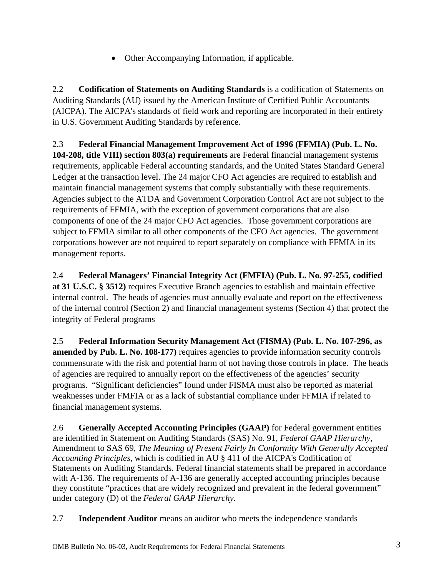• Other Accompanying Information, if applicable.

2.2 **Codification of Statements on Auditing Standards** is a codification of Statements on Auditing Standards (AU) issued by the American Institute of Certified Public Accountants (AICPA). The AICPA's standards of field work and reporting are incorporated in their entirety in U.S. Government Auditing Standards by reference.

2.3 **Federal Financial Management Improvement Act of 1996 (FFMIA) (Pub. L. No. 104-208, title VIII) section 803(a) requirements** are Federal financial management systems requirements, applicable Federal accounting standards, and the United States Standard General Ledger at the transaction level. The 24 major CFO Act agencies are required to establish and maintain financial management systems that comply substantially with these requirements. Agencies subject to the ATDA and Government Corporation Control Act are not subject to the requirements of FFMIA, with the exception of government corporations that are also components of one of the 24 major CFO Act agencies. Those government corporations are subject to FFMIA similar to all other components of the CFO Act agencies. The government corporations however are not required to report separately on compliance with FFMIA in its management reports.

2.4 **Federal Managers' Financial Integrity Act (FMFIA) (Pub. L. No. 97-255, codified at 31 U.S.C. § 3512)** requires Executive Branch agencies to establish and maintain effective internal control. The heads of agencies must annually evaluate and report on the effectiveness of the internal control (Section 2) and financial management systems (Section 4) that protect the integrity of Federal programs

2.5 **Federal Information Security Management Act (FISMA) (Pub. L. No. 107-296, as amended by Pub. L. No. 108-177)** requires agencies to provide information security controls commensurate with the risk and potential harm of not having those controls in place. The heads of agencies are required to annually report on the effectiveness of the agencies' security programs. "Significant deficiencies" found under FISMA must also be reported as material weaknesses under FMFIA or as a lack of substantial compliance under FFMIA if related to financial management systems.

2.6 **Generally Accepted Accounting Principles (GAAP)** for Federal government entities are identified in Statement on Auditing Standards (SAS) No. 91, *Federal GAAP Hierarchy*, Amendment to SAS 69, *The Meaning of Present Fairly In Conformity With Generally Accepted Accounting Principles*, which is codified in AU § 411 of the AICPA's Codification of Statements on Auditing Standards. Federal financial statements shall be prepared in accordance with A-136. The requirements of A-136 are generally accepted accounting principles because they constitute "practices that are widely recognized and prevalent in the federal government" under category (D) of the *Federal GAAP Hierarchy*.

2.7 **Independent Auditor** means an auditor who meets the independence standards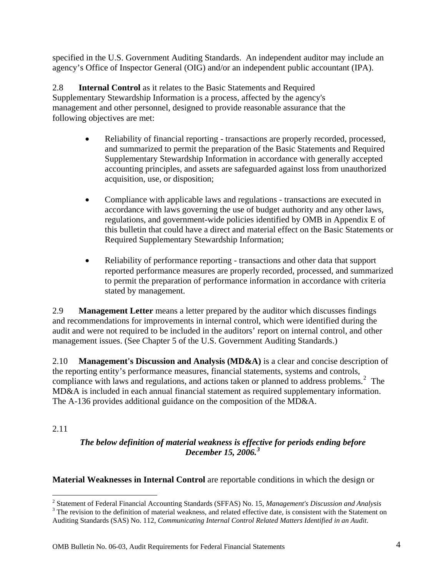specified in the U.S. Government Auditing Standards. An independent auditor may include an agency's Office of Inspector General (OIG) and/or an independent public accountant (IPA).

2.8 **Internal Control** as it relates to the Basic Statements and Required Supplementary Stewardship Information is a process, affected by the agency's management and other personnel, designed to provide reasonable assurance that the following objectives are met:

- Reliability of financial reporting transactions are properly recorded, processed, and summarized to permit the preparation of the Basic Statements and Required Supplementary Stewardship Information in accordance with generally accepted accounting principles, and assets are safeguarded against loss from unauthorized acquisition, use, or disposition;
- Compliance with applicable laws and regulations transactions are executed in accordance with laws governing the use of budget authority and any other laws, regulations, and government-wide policies identified by OMB in Appendix E of this bulletin that could have a direct and material effect on the Basic Statements or Required Supplementary Stewardship Information;
- Reliability of performance reporting transactions and other data that support reported performance measures are properly recorded, processed, and summarized to permit the preparation of performance information in accordance with criteria stated by management.

2.9 **Management Letter** means a letter prepared by the auditor which discusses findings and recommendations for improvements in internal control, which were identified during the audit and were not required to be included in the auditors' report on internal control, and other management issues. (See Chapter 5 of the U.S. Government Auditing Standards.)

2.10 **Management's Discussion and Analysis (MD&A)** is a clear and concise description of the reporting entity's performance measures, financial statements, systems and controls, compliance with laws and regulations, and actions taken or planned to address problems.<sup>[2](#page-5-0)</sup> The MD&A is included in each annual financial statement as required supplementary information. The A-136 provides additional guidance on the composition of the MD&A.

# 2.11

# *The below definition of material weakness is effective for periods ending before December 15, 2006.[3](#page-5-1)*

## **Material Weaknesses in Internal Control** are reportable conditions in which the design or

 $\overline{a}$ <sup>2</sup> Statement of Federal Financial Accounting Standards (SFFAS) No. 15, *Management's Discussion and Analysis* 3<sup>3</sup> The revision to the definition of metasial weekness, and related effective details approximately the State

<span id="page-5-1"></span><span id="page-5-0"></span><sup>&</sup>lt;sup>3</sup> The revision to the definition of material weakness, and related effective date, is consistent with the Statement on Auditing Standards (SAS) No. 112, *Communicating Internal Control Related Matters Identified in an Audit*.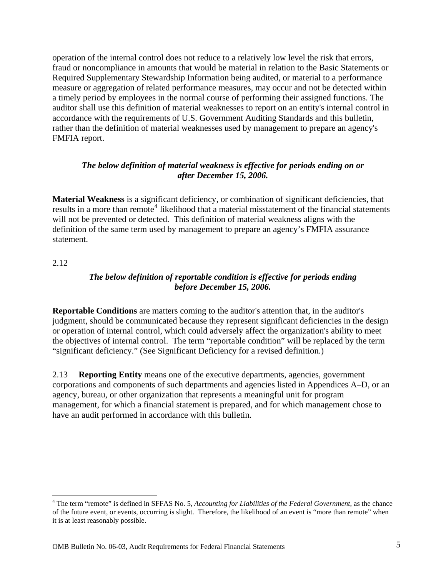operation of the internal control does not reduce to a relatively low level the risk that errors, fraud or noncompliance in amounts that would be material in relation to the Basic Statements or Required Supplementary Stewardship Information being audited, or material to a performance measure or aggregation of related performance measures, may occur and not be detected within a timely period by employees in the normal course of performing their assigned functions. The auditor shall use this definition of material weaknesses to report on an entity's internal control in accordance with the requirements of U.S. Government Auditing Standards and this bulletin, rather than the definition of material weaknesses used by management to prepare an agency's FMFIA report.

### *The below definition of material weakness is effective for periods ending on or after December 15, 2006.*

**Material Weakness** is a significant deficiency, or combination of significant deficiencies, that results in a more than remote<sup>[4](#page-6-0)</sup> likelihood that a material misstatement of the financial statements will not be prevented or detected. This definition of material weakness aligns with the definition of the same term used by management to prepare an agency's FMFIA assurance statement.

### 2.12

 $\overline{a}$ 

### *The below definition of reportable condition is effective for periods ending before December 15, 2006.*

**Reportable Conditions** are matters coming to the auditor's attention that, in the auditor's judgment, should be communicated because they represent significant deficiencies in the design or operation of internal control, which could adversely affect the organization's ability to meet the objectives of internal control. The term "reportable condition" will be replaced by the term "significant deficiency." (See Significant Deficiency for a revised definition.)

2.13 **Reporting Entity** means one of the executive departments, agencies, government corporations and components of such departments and agencies listed in Appendices A–D, or an agency, bureau, or other organization that represents a meaningful unit for program management, for which a financial statement is prepared, and for which management chose to have an audit performed in accordance with this bulletin.

<span id="page-6-0"></span><sup>&</sup>lt;sup>4</sup> The term "remote" is defined in SFFAS No. 5, *Accounting for Liabilities of the Federal Government*, as the chance of the future event, or events, occurring is slight. Therefore, the likelihood of an event is "more than remote" when it is at least reasonably possible.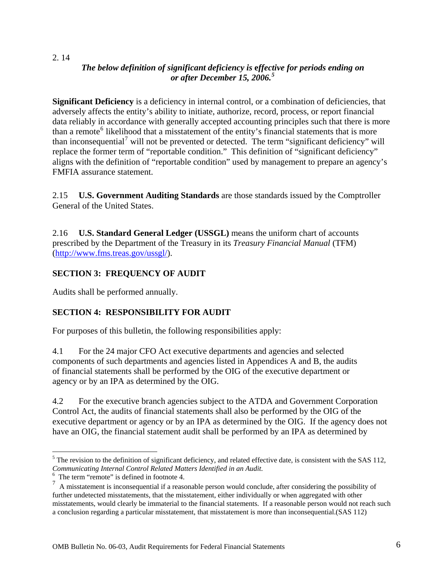## *The below definition of significant deficiency is* **e***ffective for periods ending on or after December 15, 2006.[5](#page-7-1)*

**Significant Deficiency** is a deficiency in internal control, or a combination of deficiencies, that adversely affects the entity's ability to initiate, authorize, record, process, or report financial data reliably in accordance with generally accepted accounting principles such that there is more than a remote<sup>[6](#page-7-2)</sup> likelihood that a misstatement of the entity's financial statements that is more than inconsequential<sup>[7](#page-7-3)</sup> will not be prevented or detected. The term "significant deficiency" will replace the former term of "reportable condition." This definition of "significant deficiency" aligns with the definition of "reportable condition" used by management to prepare an agency's FMFIA assurance statement.

2.15 **U.S. Government Auditing Standards** are those standards issued by the Comptroller General of the United States.

2.16 **U.S. Standard General Ledger (USSGL)** means the uniform chart of accounts prescribed by the Department of the Treasury in its *Treasury Financial Manual* (TFM) ([http://www.fms.treas.gov/ussgl/\)](http://www.fms.treas.gov/ussgl/).

### **SECTION 3: FREQUENCY OF AUDIT**

Audits shall be performed annually.

## **SECTION 4: RESPONSIBILITY FOR AUDIT**

For purposes of this bulletin, the following responsibilities apply:

4.1 For the 24 major CFO Act executive departments and agencies and selected components of such departments and agencies listed in Appendices A and B, the audits of financial statements shall be performed by the OIG of the executive department or agency or by an IPA as determined by the OIG.

4.2 For the executive branch agencies subject to the ATDA and Government Corporation Control Act, the audits of financial statements shall also be performed by the OIG of the executive department or agency or by an IPA as determined by the OIG. If the agency does not have an OIG, the financial statement audit shall be performed by an IPA as determined by

<span id="page-7-0"></span>2. 14

<span id="page-7-1"></span> $\overline{a}$  $<sup>5</sup>$  The revision to the definition of significant deficiency, and related effective date, is consistent with the SAS 112,</sup> **Communicating Internal Control Related Matters Identified in an Audit.** 

 $6$  The term "remote" is defined in footnote 4.

<span id="page-7-3"></span><span id="page-7-2"></span> $7\,$  A misstatement is inconsequential if a reasonable person would conclude, after considering the possibility of further undetected misstatements, that the misstatement, either individually or when aggregated with other misstatements, would clearly be immaterial to the financial statements. If a reasonable person would not reach such a conclusion regarding a particular misstatement, that misstatement is more than inconsequential.(SAS 112)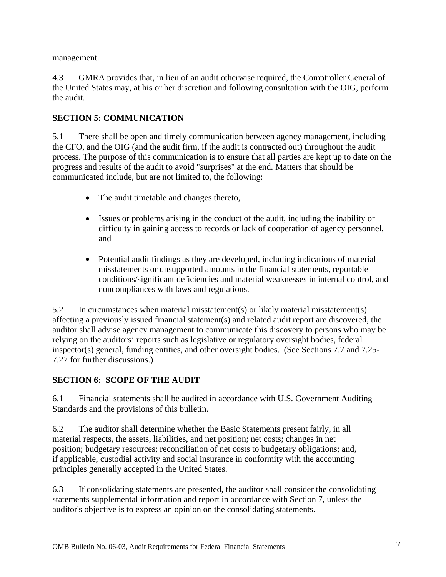<span id="page-8-0"></span>management.

4.3 GMRA provides that, in lieu of an audit otherwise required, the Comptroller General of the United States may, at his or her discretion and following consultation with the OIG, perform the audit.

# **SECTION 5: COMMUNICATION**

5.1 There shall be open and timely communication between agency management, including the CFO, and the OIG (and the audit firm, if the audit is contracted out) throughout the audit process. The purpose of this communication is to ensure that all parties are kept up to date on the progress and results of the audit to avoid "surprises" at the end. Matters that should be communicated include, but are not limited to, the following:

- The audit timetable and changes thereto,
- Issues or problems arising in the conduct of the audit, including the inability or difficulty in gaining access to records or lack of cooperation of agency personnel, and
- Potential audit findings as they are developed, including indications of material misstatements or unsupported amounts in the financial statements, reportable conditions/significant deficiencies and material weaknesses in internal control, and noncompliances with laws and regulations.

5.2 In circumstances when material misstatement(s) or likely material misstatement(s) affecting a previously issued financial statement(s) and related audit report are discovered, the auditor shall advise agency management to communicate this discovery to persons who may be relying on the auditors' reports such as legislative or regulatory oversight bodies, federal inspector(s) general, funding entities, and other oversight bodies. (See Sections 7.7 and 7.25- 7.27 for further discussions.)

# **SECTION 6: SCOPE OF THE AUDIT**

6.1 Financial statements shall be audited in accordance with U.S. Government Auditing Standards and the provisions of this bulletin.

6.2 The auditor shall determine whether the Basic Statements present fairly, in all material respects, the assets, liabilities, and net position; net costs; changes in net position; budgetary resources; reconciliation of net costs to budgetary obligations; and, if applicable, custodial activity and social insurance in conformity with the accounting principles generally accepted in the United States.

6.3 If consolidating statements are presented, the auditor shall consider the consolidating statements supplemental information and report in accordance with Section 7, unless the auditor's objective is to express an opinion on the consolidating statements.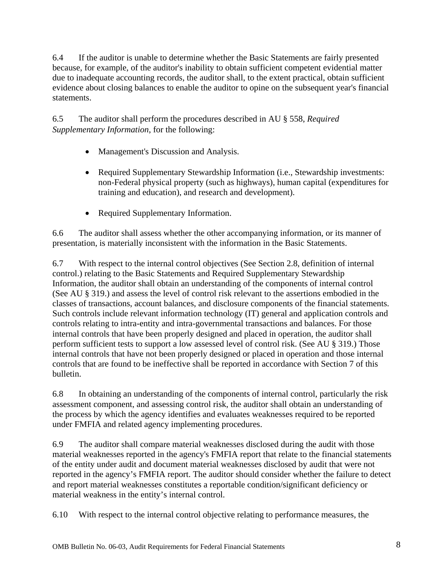6.4 If the auditor is unable to determine whether the Basic Statements are fairly presented because, for example, of the auditor's inability to obtain sufficient competent evidential matter due to inadequate accounting records, the auditor shall, to the extent practical, obtain sufficient evidence about closing balances to enable the auditor to opine on the subsequent year's financial statements.

6.5 The auditor shall perform the procedures described in AU § 558, *Required Supplementary Information*, for the following:

- Management's Discussion and Analysis.
- Required Supplementary Stewardship Information (i.e., Stewardship investments: non-Federal physical property (such as highways), human capital (expenditures for training and education), and research and development).
- Required Supplementary Information.

6.6 The auditor shall assess whether the other accompanying information, or its manner of presentation, is materially inconsistent with the information in the Basic Statements.

6.7 With respect to the internal control objectives (See Section 2.8, definition of internal control.) relating to the Basic Statements and Required Supplementary Stewardship Information, the auditor shall obtain an understanding of the components of internal control (See AU § 319.) and assess the level of control risk relevant to the assertions embodied in the classes of transactions, account balances, and disclosure components of the financial statements. Such controls include relevant information technology (IT) general and application controls and controls relating to intra-entity and intra-governmental transactions and balances. For those internal controls that have been properly designed and placed in operation, the auditor shall perform sufficient tests to support a low assessed level of control risk. (See AU § 319.) Those internal controls that have not been properly designed or placed in operation and those internal controls that are found to be ineffective shall be reported in accordance with Section 7 of this bulletin.

6.8 In obtaining an understanding of the components of internal control, particularly the risk assessment component, and assessing control risk, the auditor shall obtain an understanding of the process by which the agency identifies and evaluates weaknesses required to be reported under FMFIA and related agency implementing procedures.

6.9 The auditor shall compare material weaknesses disclosed during the audit with those material weaknesses reported in the agency's FMFIA report that relate to the financial statements of the entity under audit and document material weaknesses disclosed by audit that were not reported in the agency's FMFIA report. The auditor should consider whether the failure to detect and report material weaknesses constitutes a reportable condition/significant deficiency or material weakness in the entity's internal control.

6.10 With respect to the internal control objective relating to performance measures, the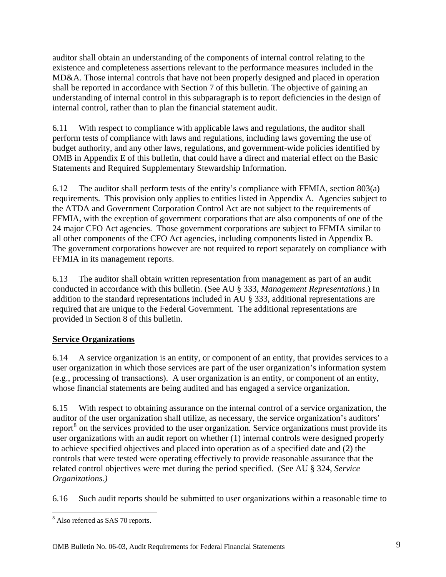<span id="page-10-0"></span>auditor shall obtain an understanding of the components of internal control relating to the existence and completeness assertions relevant to the performance measures included in the MD&A. Those internal controls that have not been properly designed and placed in operation shall be reported in accordance with Section 7 of this bulletin. The objective of gaining an understanding of internal control in this subparagraph is to report deficiencies in the design of internal control, rather than to plan the financial statement audit.

6.11 With respect to compliance with applicable laws and regulations, the auditor shall perform tests of compliance with laws and regulations, including laws governing the use of budget authority, and any other laws, regulations, and government-wide policies identified by OMB in Appendix E of this bulletin, that could have a direct and material effect on the Basic Statements and Required Supplementary Stewardship Information.

6.12 The auditor shall perform tests of the entity's compliance with FFMIA, section 803(a) requirements. This provision only applies to entities listed in Appendix A. Agencies subject to the ATDA and Government Corporation Control Act are not subject to the requirements of FFMIA, with the exception of government corporations that are also components of one of the 24 major CFO Act agencies. Those government corporations are subject to FFMIA similar to all other components of the CFO Act agencies, including components listed in Appendix B. The government corporations however are not required to report separately on compliance with FFMIA in its management reports.

6.13 The auditor shall obtain written representation from management as part of an audit conducted in accordance with this bulletin. (See AU § 333, *Management Representations*.) In addition to the standard representations included in AU § 333, additional representations are required that are unique to the Federal Government. The additional representations are provided in Section 8 of this bulletin.

## **Service Organizations**

6.14 A service organization is an entity, or component of an entity, that provides services to a user organization in which those services are part of the user organization's information system (e.g., processing of transactions). A user organization is an entity, or component of an entity, whose financial statements are being audited and has engaged a service organization.

6.15 With respect to obtaining assurance on the internal control of a service organization, the auditor of the user organization shall utilize, as necessary, the service organization's auditors' report $8$  on the services provided to the user organization. Service organizations must provide its user organizations with an audit report on whether (1) internal controls were designed properly to achieve specified objectives and placed into operation as of a specified date and (2) the controls that were tested were operating effectively to provide reasonable assurance that the related control objectives were met during the period specified. (See AU § 324, *Service Organizations.)*

6.16 Such audit reports should be submitted to user organizations within a reasonable time to

<span id="page-10-1"></span> $\overline{a}$ <sup>8</sup> Also referred as SAS 70 reports.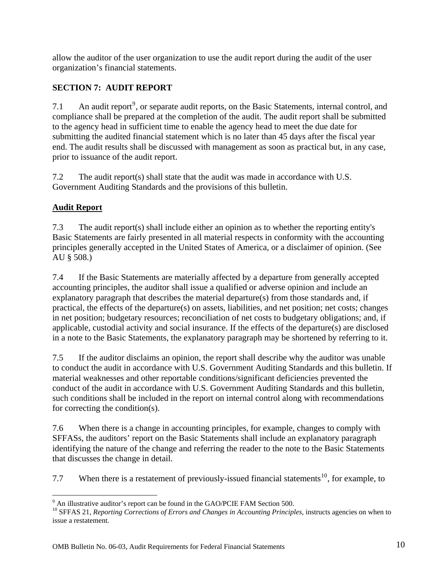<span id="page-11-0"></span>allow the auditor of the user organization to use the audit report during the audit of the user organization's financial statements.

## **SECTION 7: AUDIT REPORT**

7.1 An audit report<sup>[9](#page-11-1)</sup>, or separate audit reports, on the Basic Statements, internal control, and compliance shall be prepared at the completion of the audit. The audit report shall be submitted to the agency head in sufficient time to enable the agency head to meet the due date for submitting the audited financial statement which is no later than 45 days after the fiscal year end. The audit results shall be discussed with management as soon as practical but, in any case, prior to issuance of the audit report.

7.2 The audit report(s) shall state that the audit was made in accordance with U.S. Government Auditing Standards and the provisions of this bulletin.

# **Audit Report**

7.3 The audit report(s) shall include either an opinion as to whether the reporting entity's Basic Statements are fairly presented in all material respects in conformity with the accounting principles generally accepted in the United States of America, or a disclaimer of opinion. (See AU § 508.)

7.4 If the Basic Statements are materially affected by a departure from generally accepted accounting principles, the auditor shall issue a qualified or adverse opinion and include an explanatory paragraph that describes the material departure(s) from those standards and, if practical, the effects of the departure(s) on assets, liabilities, and net position; net costs; changes in net position; budgetary resources; reconciliation of net costs to budgetary obligations; and, if applicable, custodial activity and social insurance. If the effects of the departure(s) are disclosed in a note to the Basic Statements, the explanatory paragraph may be shortened by referring to it.

7.5 If the auditor disclaims an opinion, the report shall describe why the auditor was unable to conduct the audit in accordance with U.S. Government Auditing Standards and this bulletin. If material weaknesses and other reportable conditions/significant deficiencies prevented the conduct of the audit in accordance with U.S. Government Auditing Standards and this bulletin, such conditions shall be included in the report on internal control along with recommendations for correcting the condition(s).

7.6 When there is a change in accounting principles, for example, changes to comply with SFFASs, the auditors' report on the Basic Statements shall include an explanatory paragraph identifying the nature of the change and referring the reader to the note to the Basic Statements that discusses the change in detail.

7.7 When there is a restatement of previously-issued financial statements<sup>[10](#page-11-2)</sup>, for example, to

 $\overline{a}$  $9$  An illustrative auditor's report can be found in the GAO/PCIE FAM Section 500.

<span id="page-11-2"></span><span id="page-11-1"></span><sup>&</sup>lt;sup>10</sup> SFFAS 21, *Reporting Corrections of Errors and Changes in Accounting Principles*, instructs agencies on when to issue a restatement.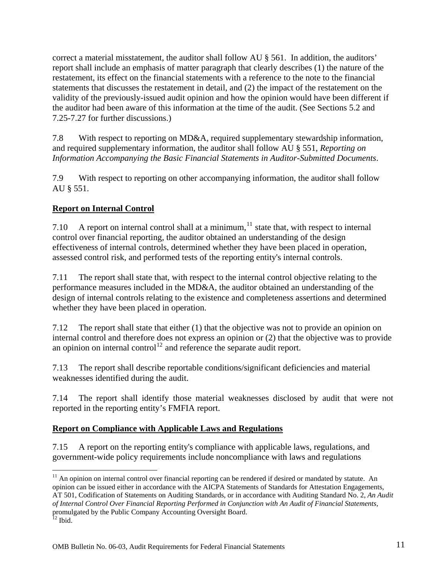<span id="page-12-0"></span>correct a material misstatement, the auditor shall follow AU § 561. In addition, the auditors' report shall include an emphasis of matter paragraph that clearly describes (1) the nature of the restatement, its effect on the financial statements with a reference to the note to the financial statements that discusses the restatement in detail, and (2) the impact of the restatement on the validity of the previously-issued audit opinion and how the opinion would have been different if the auditor had been aware of this information at the time of the audit. (See Sections 5.2 and 7.25-7.27 for further discussions.)

7.8 With respect to reporting on MD&A, required supplementary stewardship information, and required supplementary information, the auditor shall follow AU § 551, *Reporting on Information Accompanying the Basic Financial Statements in Auditor-Submitted Documents*.

7.9 With respect to reporting on other accompanying information, the auditor shall follow AU § 551.

## **Report on Internal Control**

7.10 A report on internal control shall at a minimum,  $11$  state that, with respect to internal control over financial reporting, the auditor obtained an understanding of the design effectiveness of internal controls, determined whether they have been placed in operation, assessed control risk, and performed tests of the reporting entity's internal controls.

7.11 The report shall state that, with respect to the internal control objective relating to the performance measures included in the MD&A, the auditor obtained an understanding of the design of internal controls relating to the existence and completeness assertions and determined whether they have been placed in operation.

7.12 The report shall state that either (1) that the objective was not to provide an opinion on internal control and therefore does not express an opinion or (2) that the objective was to provide an opinion on internal control<sup>[12](#page-12-2)</sup> and reference the separate audit report.

7.13 The report shall describe reportable conditions/significant deficiencies and material weaknesses identified during the audit.

7.14 The report shall identify those material weaknesses disclosed by audit that were not reported in the reporting entity's FMFIA report.

## **Report on Compliance with Applicable Laws and Regulations**

7.15 A report on the reporting entity's compliance with applicable laws, regulations, and government-wide policy requirements include noncompliance with laws and regulations

<span id="page-12-2"></span>OMB Bulletin No. 06-03, Audit Requirements for Federal Financial Statements 11

<span id="page-12-1"></span> $\overline{a}$  $11$  An opinion on internal control over financial reporting can be rendered if desired or mandated by statute. An opinion can be issued either in accordance with the AICPA Statements of Standards for Attestation Engagements, AT 501, Codification of Statements on Auditing Standards, or in accordance with Auditing Standard No. 2, *An Audit of Internal Control Over Financial Reporting Performed in Conjunction with An Audit of Financial Statements,* promulgated by the Public Company Accounting Oversight Board.  $12$  Ibid.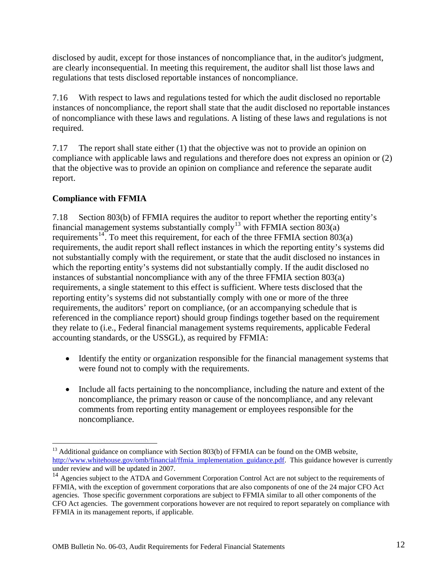<span id="page-13-0"></span>disclosed by audit, except for those instances of noncompliance that, in the auditor's judgment, are clearly inconsequential. In meeting this requirement, the auditor shall list those laws and regulations that tests disclosed reportable instances of noncompliance.

7.16 With respect to laws and regulations tested for which the audit disclosed no reportable instances of noncompliance, the report shall state that the audit disclosed no reportable instances of noncompliance with these laws and regulations. A listing of these laws and regulations is not required.

7.17 The report shall state either (1) that the objective was not to provide an opinion on compliance with applicable laws and regulations and therefore does not express an opinion or (2) that the objective was to provide an opinion on compliance and reference the separate audit report.

## **Compliance with FFMIA**

7.18 Section 803(b) of FFMIA requires the auditor to report whether the reporting entity's financial management systems substantially comply<sup>[13](#page-13-1)</sup> with FFMIA section  $803(a)$ requirements<sup>[14](#page-13-2)</sup>. To meet this requirement, for each of the three FFMIA section  $803(a)$ requirements, the audit report shall reflect instances in which the reporting entity's systems did not substantially comply with the requirement, or state that the audit disclosed no instances in which the reporting entity's systems did not substantially comply. If the audit disclosed no instances of substantial noncompliance with any of the three FFMIA section 803(a) requirements, a single statement to this effect is sufficient. Where tests disclosed that the reporting entity's systems did not substantially comply with one or more of the three requirements, the auditors' report on compliance, (or an accompanying schedule that is referenced in the compliance report) should group findings together based on the requirement they relate to (i.e., Federal financial management systems requirements, applicable Federal accounting standards, or the USSGL), as required by FFMIA:

- Identify the entity or organization responsible for the financial management systems that were found not to comply with the requirements.
- Include all facts pertaining to the noncompliance, including the nature and extent of the noncompliance, the primary reason or cause of the noncompliance, and any relevant comments from reporting entity management or employees responsible for the noncompliance.

<span id="page-13-1"></span> $\overline{a}$  $^{13}$  Additional guidance on compliance with Section 803(b) of FFMIA can be found on the OMB website, [http://www.whitehouse.gov/omb/financial/ffmia\\_implementation\\_guidance.pdf.](http://www.whitehouse.gov/omb/financial/ffmia_implementation_guidance.pdf) This guidance however is currently under review and will be updated in 2007.

<span id="page-13-2"></span><sup>&</sup>lt;sup>14</sup> Agencies subject to the ATDA and Government Corporation Control Act are not subject to the requirements of FFMIA, with the exception of government corporations that are also components of one of the 24 major CFO Act agencies. Those specific government corporations are subject to FFMIA similar to all other components of the CFO Act agencies. The government corporations however are not required to report separately on compliance with FFMIA in its management reports, if applicable.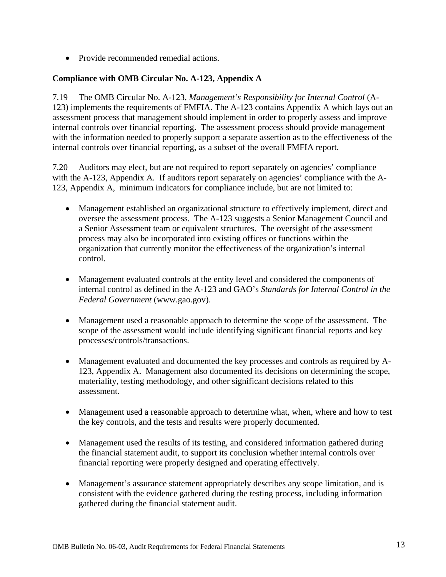<span id="page-14-0"></span>• Provide recommended remedial actions.

### **Compliance with OMB Circular No. A-123, Appendix A**

7.19 The OMB Circular No. A-123, *Management's Responsibility for Internal Control* (A-123) implements the requirements of FMFIA. The A-123 contains Appendix A which lays out an assessment process that management should implement in order to properly assess and improve internal controls over financial reporting. The assessment process should provide management with the information needed to properly support a separate assertion as to the effectiveness of the internal controls over financial reporting, as a subset of the overall FMFIA report.

7.20 Auditors may elect, but are not required to report separately on agencies' compliance with the A-123, Appendix A. If auditors report separately on agencies' compliance with the A-123, Appendix A, minimum indicators for compliance include, but are not limited to:

- Management established an organizational structure to effectively implement, direct and oversee the assessment process. The A-123 suggests a Senior Management Council and a Senior Assessment team or equivalent structures. The oversight of the assessment process may also be incorporated into existing offices or functions within the organization that currently monitor the effectiveness of the organization's internal control.
- Management evaluated controls at the entity level and considered the components of internal control as defined in the A-123 and GAO's *Standards for Internal Control in the Federal Government* (www.gao.gov).
- Management used a reasonable approach to determine the scope of the assessment. The scope of the assessment would include identifying significant financial reports and key processes/controls/transactions.
- Management evaluated and documented the key processes and controls as required by A-123, Appendix A. Management also documented its decisions on determining the scope, materiality, testing methodology, and other significant decisions related to this assessment.
- Management used a reasonable approach to determine what, when, where and how to test the key controls, and the tests and results were properly documented.
- Management used the results of its testing, and considered information gathered during the financial statement audit, to support its conclusion whether internal controls over financial reporting were properly designed and operating effectively.
- Management's assurance statement appropriately describes any scope limitation, and is consistent with the evidence gathered during the testing process, including information gathered during the financial statement audit.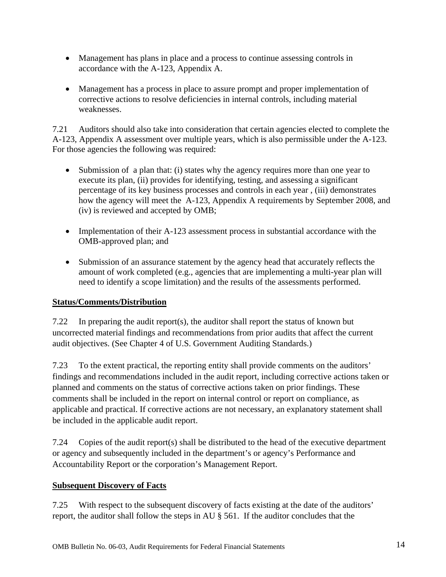- <span id="page-15-0"></span>• Management has plans in place and a process to continue assessing controls in accordance with the A-123, Appendix A.
- Management has a process in place to assure prompt and proper implementation of corrective actions to resolve deficiencies in internal controls, including material weaknesses.

7.21 Auditors should also take into consideration that certain agencies elected to complete the A-123, Appendix A assessment over multiple years, which is also permissible under the A-123. For those agencies the following was required:

- Submission of a plan that: (i) states why the agency requires more than one year to execute its plan, (ii) provides for identifying, testing, and assessing a significant percentage of its key business processes and controls in each year , (iii) demonstrates how the agency will meet the A-123, Appendix A requirements by September 2008, and (iv) is reviewed and accepted by OMB;
- Implementation of their A-123 assessment process in substantial accordance with the OMB-approved plan; and
- Submission of an assurance statement by the agency head that accurately reflects the amount of work completed (e.g., agencies that are implementing a multi-year plan will need to identify a scope limitation) and the results of the assessments performed.

## **Status/Comments/Distribution**

7.22 In preparing the audit report(s), the auditor shall report the status of known but uncorrected material findings and recommendations from prior audits that affect the current audit objectives. (See Chapter 4 of U.S. Government Auditing Standards.)

7.23 To the extent practical, the reporting entity shall provide comments on the auditors' findings and recommendations included in the audit report, including corrective actions taken or planned and comments on the status of corrective actions taken on prior findings. These comments shall be included in the report on internal control or report on compliance, as applicable and practical. If corrective actions are not necessary, an explanatory statement shall be included in the applicable audit report.

7.24 Copies of the audit report(s) shall be distributed to the head of the executive department or agency and subsequently included in the department's or agency's Performance and Accountability Report or the corporation's Management Report.

### **Subsequent Discovery of Facts**

7.25 With respect to the subsequent discovery of facts existing at the date of the auditors' report, the auditor shall follow the steps in AU § 561. If the auditor concludes that the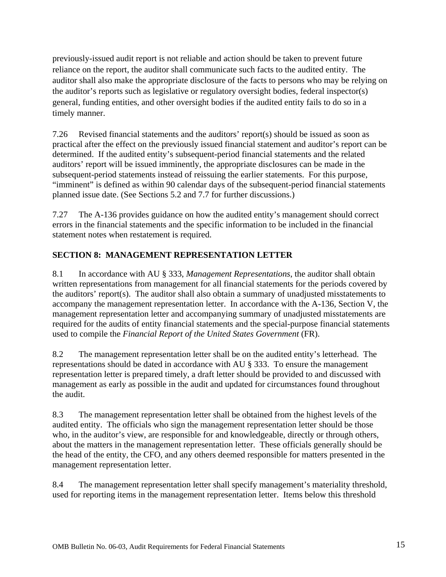<span id="page-16-0"></span>previously-issued audit report is not reliable and action should be taken to prevent future reliance on the report, the auditor shall communicate such facts to the audited entity. The auditor shall also make the appropriate disclosure of the facts to persons who may be relying on the auditor's reports such as legislative or regulatory oversight bodies, federal inspector(s) general, funding entities, and other oversight bodies if the audited entity fails to do so in a timely manner.

7.26 Revised financial statements and the auditors' report(s) should be issued as soon as practical after the effect on the previously issued financial statement and auditor's report can be determined. If the audited entity's subsequent-period financial statements and the related auditors' report will be issued imminently, the appropriate disclosures can be made in the subsequent-period statements instead of reissuing the earlier statements. For this purpose, "imminent" is defined as within 90 calendar days of the subsequent-period financial statements planned issue date. (See Sections 5.2 and 7.7 for further discussions.)

7.27 The A-136 provides guidance on how the audited entity's management should correct errors in the financial statements and the specific information to be included in the financial statement notes when restatement is required.

## **SECTION 8: MANAGEMENT REPRESENTATION LETTER**

8.1 In accordance with AU § 333, *Management Representations*, the auditor shall obtain written representations from management for all financial statements for the periods covered by the auditors' report(s). The auditor shall also obtain a summary of unadjusted misstatements to accompany the management representation letter. In accordance with the A-136, Section V, the management representation letter and accompanying summary of unadjusted misstatements are required for the audits of entity financial statements and the special-purpose financial statements used to compile the *Financial Report of the United States Government* (FR).

8.2 The management representation letter shall be on the audited entity's letterhead. The representations should be dated in accordance with AU § 333. To ensure the management representation letter is prepared timely, a draft letter should be provided to and discussed with management as early as possible in the audit and updated for circumstances found throughout the audit.

8.3 The management representation letter shall be obtained from the highest levels of the audited entity. The officials who sign the management representation letter should be those who, in the auditor's view, are responsible for and knowledgeable, directly or through others, about the matters in the management representation letter. These officials generally should be the head of the entity, the CFO, and any others deemed responsible for matters presented in the management representation letter.

8.4 The management representation letter shall specify management's materiality threshold, used for reporting items in the management representation letter. Items below this threshold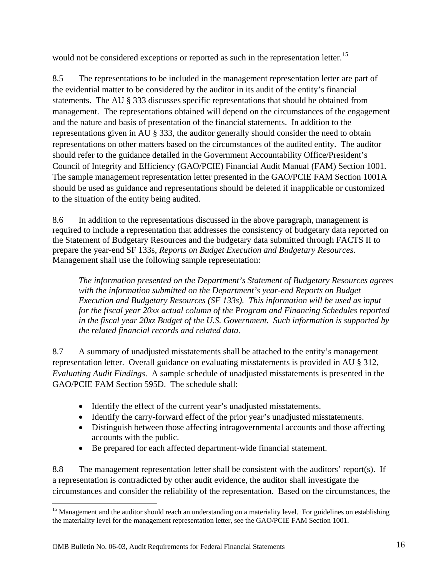would not be considered exceptions or reported as such in the representation letter.<sup>[15](#page-17-0)</sup>

8.5 The representations to be included in the management representation letter are part of the evidential matter to be considered by the auditor in its audit of the entity's financial statements. The AU § 333 discusses specific representations that should be obtained from management. The representations obtained will depend on the circumstances of the engagement and the nature and basis of presentation of the financial statements. In addition to the representations given in AU § 333, the auditor generally should consider the need to obtain representations on other matters based on the circumstances of the audited entity. The auditor should refer to the guidance detailed in the Government Accountability Office/President's Council of Integrity and Efficiency (GAO/PCIE) Financial Audit Manual (FAM) Section 1001. The sample management representation letter presented in the GAO/PCIE FAM Section 1001A should be used as guidance and representations should be deleted if inapplicable or customized to the situation of the entity being audited.

8.6 In addition to the representations discussed in the above paragraph, management is required to include a representation that addresses the consistency of budgetary data reported on the Statement of Budgetary Resources and the budgetary data submitted through FACTS II to prepare the year-end SF 133s, *Reports on Budget Execution and Budgetary Resources*. Management shall use the following sample representation:

*The information presented on the Department's Statement of Budgetary Resources agrees with the information submitted on the Department's year-end Reports on Budget Execution and Budgetary Resources (SF 133s). This information will be used as input for the fiscal year 20xx actual column of the Program and Financing Schedules reported in the fiscal year 20xz Budget of the U.S. Government. Such information is supported by the related financial records and related data.* 

8.7 A summary of unadjusted misstatements shall be attached to the entity's management representation letter. Overall guidance on evaluating misstatements is provided in AU § 312, *Evaluating Audit Findings*. A sample schedule of unadjusted misstatements is presented in the GAO/PCIE FAM Section 595D. The schedule shall:

- Identify the effect of the current year's unadjusted misstatements.
- Identify the carry-forward effect of the prior year's unadjusted misstatements.
- Distinguish between those affecting intragovernmental accounts and those affecting accounts with the public.
- Be prepared for each affected department-wide financial statement.

8.8 The management representation letter shall be consistent with the auditors' report(s). If a representation is contradicted by other audit evidence, the auditor shall investigate the circumstances and consider the reliability of the representation. Based on the circumstances, the

<span id="page-17-0"></span> $\overline{a}$ <sup>15</sup> Management and the auditor should reach an understanding on a materiality level. For guidelines on establishing the materiality level for the management representation letter, see the GAO/PCIE FAM Section 1001.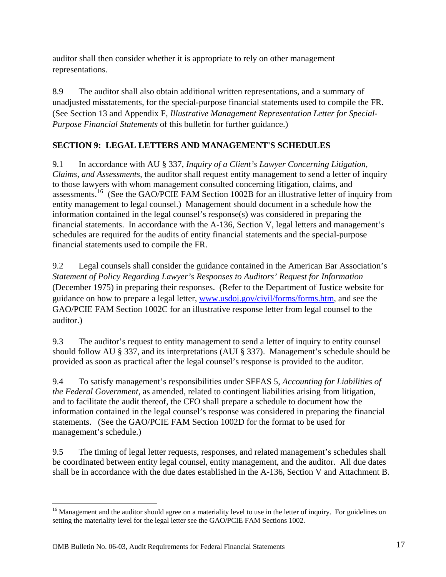<span id="page-18-0"></span>auditor shall then consider whether it is appropriate to rely on other management representations.

8.9 The auditor shall also obtain additional written representations, and a summary of unadjusted misstatements, for the special-purpose financial statements used to compile the FR. (See Section 13 and Appendix F, *Illustrative Management Representation Letter for Special-Purpose Financial Statements* of this bulletin for further guidance.)

# **SECTION 9: LEGAL LETTERS AND MANAGEMENT'S SCHEDULES**

9.1 In accordance with AU § 337, *Inquiry of a Client's Lawyer Concerning Litigation, Claims, and Assessments*, the auditor shall request entity management to send a letter of inquiry to those lawyers with whom management consulted concerning litigation, claims, and assessments.[16](#page-18-1) (See the GAO/PCIE FAM Section 1002B for an illustrative letter of inquiry from entity management to legal counsel.) Management should document in a schedule how the information contained in the legal counsel's response(s) was considered in preparing the financial statements. In accordance with the A-136, Section V, legal letters and management's schedules are required for the audits of entity financial statements and the special-purpose financial statements used to compile the FR.

9.2 Legal counsels shall consider the guidance contained in the American Bar Association's *Statement of Policy Regarding Lawyer's Responses to Auditors' Request for Information* (December 1975) in preparing their responses. (Refer to the Department of Justice website for guidance on how to prepare a legal letter, [www.usdoj.gov/civil/forms/forms.htm,](http://www.usdoj.gov/civil/forms/forms.htm) and see the GAO/PCIE FAM Section 1002C for an illustrative response letter from legal counsel to the auditor.)

9.3 The auditor's request to entity management to send a letter of inquiry to entity counsel should follow AU § 337, and its interpretations (AUI § 337). Management's schedule should be provided as soon as practical after the legal counsel's response is provided to the auditor.

9.4 To satisfy management's responsibilities under SFFAS 5, *Accounting for Liabilities of the Federal Government*, as amended, related to contingent liabilities arising from litigation, and to facilitate the audit thereof, the CFO shall prepare a schedule to document how the information contained in the legal counsel's response was considered in preparing the financial statements. (See the GAO/PCIE FAM Section 1002D for the format to be used for management's schedule.)

9.5 The timing of legal letter requests, responses, and related management's schedules shall be coordinated between entity legal counsel, entity management, and the auditor. All due dates shall be in accordance with the due dates established in the A-136, Section V and Attachment B.

 $\overline{a}$ 

<span id="page-18-1"></span><sup>&</sup>lt;sup>16</sup> Management and the auditor should agree on a materiality level to use in the letter of inquiry. For guidelines on setting the materiality level for the legal letter see the GAO/PCIE FAM Sections 1002.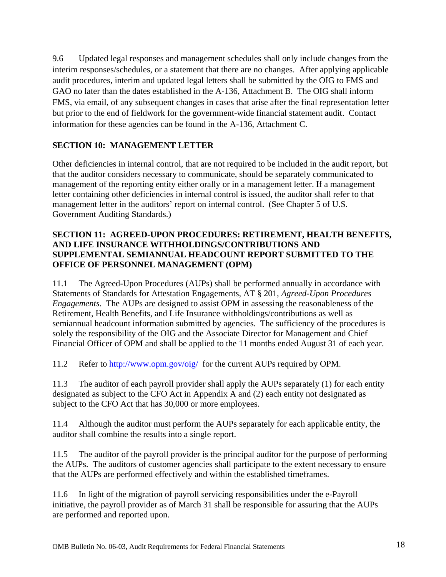<span id="page-19-0"></span>9.6 Updated legal responses and management schedules shall only include changes from the interim responses/schedules, or a statement that there are no changes. After applying applicable audit procedures, interim and updated legal letters shall be submitted by the OIG to FMS and GAO no later than the dates established in the A-136, Attachment B. The OIG shall inform FMS, via email, of any subsequent changes in cases that arise after the final representation letter but prior to the end of fieldwork for the government-wide financial statement audit. Contact information for these agencies can be found in the A-136, Attachment C.

### **SECTION 10: MANAGEMENT LETTER**

Other deficiencies in internal control, that are not required to be included in the audit report, but that the auditor considers necessary to communicate, should be separately communicated to management of the reporting entity either orally or in a management letter. If a management letter containing other deficiencies in internal control is issued, the auditor shall refer to that management letter in the auditors' report on internal control. (See Chapter 5 of U.S. Government Auditing Standards.)

### **SECTION 11: AGREED-UPON PROCEDURES: RETIREMENT, HEALTH BENEFITS, AND LIFE INSURANCE WITHHOLDINGS/CONTRIBUTIONS AND SUPPLEMENTAL SEMIANNUAL HEADCOUNT REPORT SUBMITTED TO THE OFFICE OF PERSONNEL MANAGEMENT (OPM)**

11.1 The Agreed-Upon Procedures (AUPs) shall be performed annually in accordance with Statements of Standards for Attestation Engagements, AT § 201, *Agreed-Upon Procedures Engagements*. The AUPs are designed to assist OPM in assessing the reasonableness of the Retirement, Health Benefits, and Life Insurance withholdings/contributions as well as semiannual headcount information submitted by agencies. The sufficiency of the procedures is solely the responsibility of the OIG and the Associate Director for Management and Chief Financial Officer of OPM and shall be applied to the 11 months ended August 31 of each year.

11.2 Refer to<http://www.opm.gov/oig/> for the current AUPs required by OPM.

11.3 The auditor of each payroll provider shall apply the AUPs separately (1) for each entity designated as subject to the CFO Act in Appendix A and (2) each entity not designated as subject to the CFO Act that has 30,000 or more employees.

11.4 Although the auditor must perform the AUPs separately for each applicable entity, the auditor shall combine the results into a single report.

11.5 The auditor of the payroll provider is the principal auditor for the purpose of performing the AUPs. The auditors of customer agencies shall participate to the extent necessary to ensure that the AUPs are performed effectively and within the established timeframes.

11.6 In light of the migration of payroll servicing responsibilities under the e-Payroll initiative, the payroll provider as of March 31 shall be responsible for assuring that the AUPs are performed and reported upon.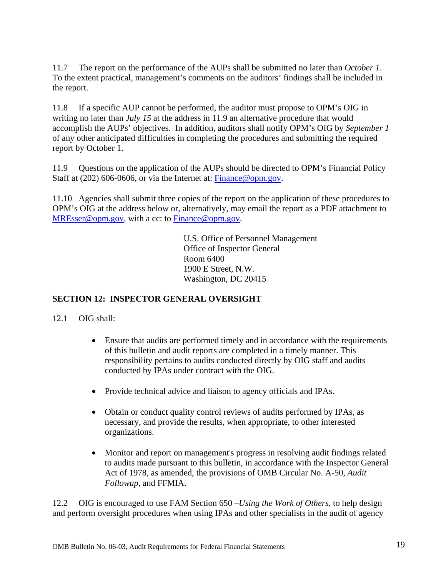<span id="page-20-0"></span>11.7 The report on the performance of the AUPs shall be submitted no later than *October 1*. To the extent practical, management's comments on the auditors' findings shall be included in the report.

11.8 If a specific AUP cannot be performed, the auditor must propose to OPM's OIG in writing no later than *July 15* at the address in 11.9 an alternative procedure that would accomplish the AUPs' objectives. In addition, auditors shall notify OPM's OIG by *September 1* of any other anticipated difficulties in completing the procedures and submitting the required report by October 1.

11.9 Questions on the application of the AUPs should be directed to OPM's Financial Policy Staff at (202) 606-0606, or via the Internet at: [Finance@opm.gov.](mailto:Finance@opm.gov)

11.10 Agencies shall submit three copies of the report on the application of these procedures to OPM's OIG at the address below or, alternatively, may email the report as a PDF attachment to [MREsser@opm.gov](mailto:Michael.Esser@opm.gov), with a cc: to [Finance@opm.gov](mailto:Finance@opm.gov).

> U.S. Office of Personnel Management Office of Inspector General Room 6400 1900 E Street, N.W. Washington, DC 20415

## **SECTION 12: INSPECTOR GENERAL OVERSIGHT**

12.1 OIG shall:

- Ensure that audits are performed timely and in accordance with the requirements of this bulletin and audit reports are completed in a timely manner. This responsibility pertains to audits conducted directly by OIG staff and audits conducted by IPAs under contract with the OIG.
- Provide technical advice and liaison to agency officials and IPAs.
- Obtain or conduct quality control reviews of audits performed by IPAs, as necessary, and provide the results, when appropriate, to other interested organizations.
- Monitor and report on management's progress in resolving audit findings related to audits made pursuant to this bulletin, in accordance with the Inspector General Act of 1978, as amended, the provisions of OMB Circular No. A-50, *Audit Followup*, and FFMIA.

12.2 OIG is encouraged to use FAM Section 650 –*Using the Work of Others*, to help design and perform oversight procedures when using IPAs and other specialists in the audit of agency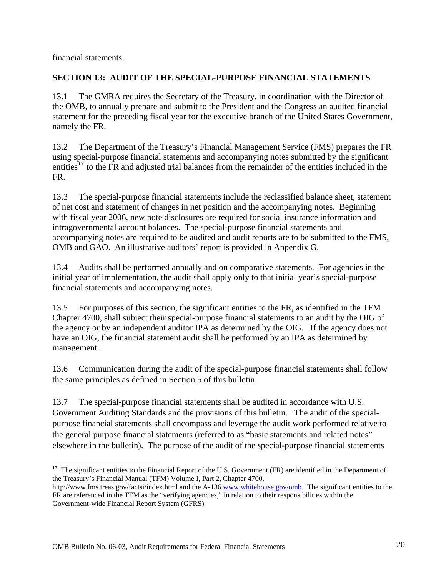<span id="page-21-0"></span>financial statements.

### **SECTION 13: AUDIT OF THE SPECIAL-PURPOSE FINANCIAL STATEMENTS**

13.1 The GMRA requires the Secretary of the Treasury, in coordination with the Director of the OMB, to annually prepare and submit to the President and the Congress an audited financial statement for the preceding fiscal year for the executive branch of the United States Government, namely the FR.

13.2 The Department of the Treasury's Financial Management Service (FMS) prepares the FR using special-purpose financial statements and accompanying notes submitted by the significant entities<sup>[17](#page-21-1)</sup> to the FR and adjusted trial balances from the remainder of the entities included in the FR.

13.3 The special-purpose financial statements include the reclassified balance sheet, statement of net cost and statement of changes in net position and the accompanying notes. Beginning with fiscal year 2006, new note disclosures are required for social insurance information and intragovernmental account balances. The special-purpose financial statements and accompanying notes are required to be audited and audit reports are to be submitted to the FMS, OMB and GAO. An illustrative auditors' report is provided in Appendix G.

13.4 Audits shall be performed annually and on comparative statements. For agencies in the initial year of implementation, the audit shall apply only to that initial year's special-purpose financial statements and accompanying notes.

13.5 For purposes of this section, the significant entities to the FR, as identified in the TFM Chapter 4700, shall subject their special-purpose financial statements to an audit by the OIG of the agency or by an independent auditor IPA as determined by the OIG. If the agency does not have an OIG, the financial statement audit shall be performed by an IPA as determined by management.

13.6 Communication during the audit of the special-purpose financial statements shall follow the same principles as defined in Section 5 of this bulletin.

13.7 The special-purpose financial statements shall be audited in accordance with U.S. Government Auditing Standards and the provisions of this bulletin. The audit of the specialpurpose financial statements shall encompass and leverage the audit work performed relative to the general purpose financial statements (referred to as "basic statements and related notes" elsewhere in the bulletin). The purpose of the audit of the special-purpose financial statements

<span id="page-21-1"></span> $\overline{a}$  $17$  The significant entities to the Financial Report of the U.S. Government (FR) are identified in the Department of the Treasury's Financial Manual (TFM) Volume I, Part 2, Chapter 4700,

http://www.fms.treas.gov/factsi/index.html and the A-136 [www.whitehouse.gov/omb](http://www.whitehouse.gov/omb). The significant entities to the FR are referenced in the TFM as the "verifying agencies," in relation to their responsibilities within the Government-wide Financial Report System (GFRS).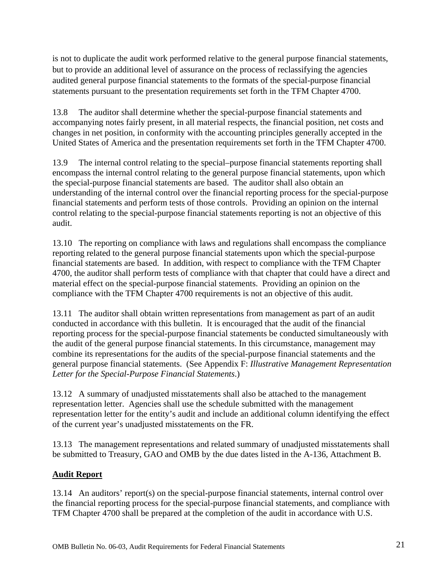<span id="page-22-0"></span>is not to duplicate the audit work performed relative to the general purpose financial statements, but to provide an additional level of assurance on the process of reclassifying the agencies audited general purpose financial statements to the formats of the special-purpose financial statements pursuant to the presentation requirements set forth in the TFM Chapter 4700.

13.8 The auditor shall determine whether the special-purpose financial statements and accompanying notes fairly present, in all material respects, the financial position, net costs and changes in net position, in conformity with the accounting principles generally accepted in the United States of America and the presentation requirements set forth in the TFM Chapter 4700.

13.9 The internal control relating to the special–purpose financial statements reporting shall encompass the internal control relating to the general purpose financial statements, upon which the special-purpose financial statements are based. The auditor shall also obtain an understanding of the internal control over the financial reporting process for the special-purpose financial statements and perform tests of those controls. Providing an opinion on the internal control relating to the special-purpose financial statements reporting is not an objective of this audit.

13.10 The reporting on compliance with laws and regulations shall encompass the compliance reporting related to the general purpose financial statements upon which the special-purpose financial statements are based. In addition, with respect to compliance with the TFM Chapter 4700, the auditor shall perform tests of compliance with that chapter that could have a direct and material effect on the special-purpose financial statements. Providing an opinion on the compliance with the TFM Chapter 4700 requirements is not an objective of this audit.

13.11 The auditor shall obtain written representations from management as part of an audit conducted in accordance with this bulletin. It is encouraged that the audit of the financial reporting process for the special-purpose financial statements be conducted simultaneously with the audit of the general purpose financial statements. In this circumstance, management may combine its representations for the audits of the special-purpose financial statements and the general purpose financial statements. (See Appendix F: *Illustrative Management Representation Letter for the Special-Purpose Financial Statements*.)

13.12 A summary of unadjusted misstatements shall also be attached to the management representation letter. Agencies shall use the schedule submitted with the management representation letter for the entity's audit and include an additional column identifying the effect of the current year's unadjusted misstatements on the FR.

13.13 The management representations and related summary of unadjusted misstatements shall be submitted to Treasury, GAO and OMB by the due dates listed in the A-136, Attachment B.

## **Audit Report**

13.14 An auditors' report(s) on the special-purpose financial statements, internal control over the financial reporting process for the special-purpose financial statements, and compliance with TFM Chapter 4700 shall be prepared at the completion of the audit in accordance with U.S.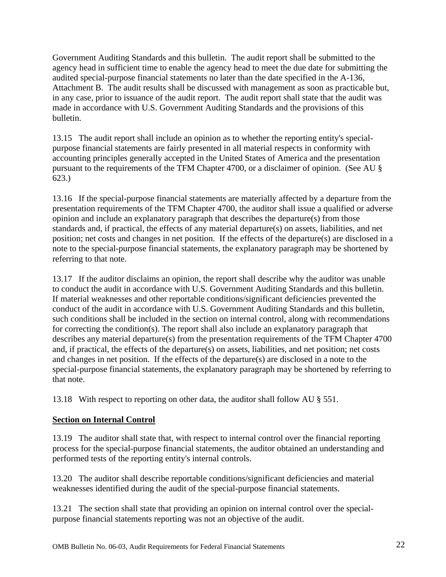<span id="page-23-0"></span>Government Auditing Standards and this bulletin. The audit report shall be submitted to the agency head in sufficient time to enable the agency head to meet the due date for submitting the audited special-purpose financial statements no later than the date specified in the A-136, Attachment B. The audit results shall be discussed with management as soon as practicable but, in any case, prior to issuance of the audit report. The audit report shall state that the audit was made in accordance with U.S. Government Auditing Standards and the provisions of this bulletin.

13.15 The audit report shall include an opinion as to whether the reporting entity's specialpurpose financial statements are fairly presented in all material respects in conformity with accounting principles generally accepted in the United States of America and the presentation pursuant to the requirements of the TFM Chapter 4700, or a disclaimer of opinion. (See AU § 623.)

13.16 If the special-purpose financial statements are materially affected by a departure from the presentation requirements of the TFM Chapter 4700, the auditor shall issue a qualified or adverse opinion and include an explanatory paragraph that describes the departure(s) from those standards and, if practical, the effects of any material departure(s) on assets, liabilities, and net position; net costs and changes in net position. If the effects of the departure(s) are disclosed in a note to the special-purpose financial statements, the explanatory paragraph may be shortened by referring to that note.

13.17 If the auditor disclaims an opinion, the report shall describe why the auditor was unable to conduct the audit in accordance with U.S. Government Auditing Standards and this bulletin. If material weaknesses and other reportable conditions/significant deficiencies prevented the conduct of the audit in accordance with U.S. Government Auditing Standards and this bulletin, such conditions shall be included in the section on internal control, along with recommendations for correcting the condition(s). The report shall also include an explanatory paragraph that describes any material departure(s) from the presentation requirements of the TFM Chapter 4700 and, if practical, the effects of the departure(s) on assets, liabilities, and net position; net costs and changes in net position. If the effects of the departure(s) are disclosed in a note to the special-purpose financial statements, the explanatory paragraph may be shortened by referring to that note.

13.18 With respect to reporting on other data, the auditor shall follow AU § 551.

## **Section on Internal Control**

13.19 The auditor shall state that, with respect to internal control over the financial reporting process for the special-purpose financial statements, the auditor obtained an understanding and performed tests of the reporting entity's internal controls.

13.20 The auditor shall describe reportable conditions/significant deficiencies and material weaknesses identified during the audit of the special-purpose financial statements.

13.21 The section shall state that providing an opinion on internal control over the specialpurpose financial statements reporting was not an objective of the audit.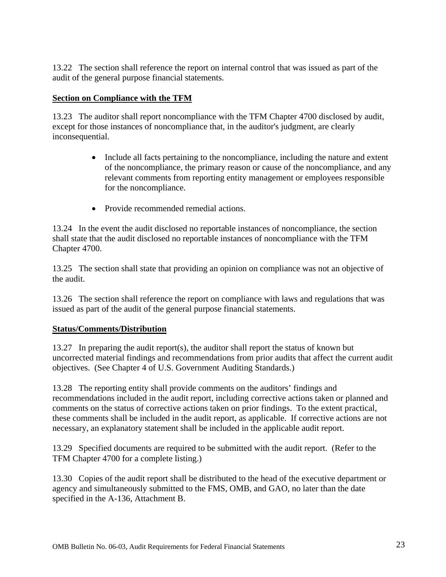<span id="page-24-0"></span>13.22 The section shall reference the report on internal control that was issued as part of the audit of the general purpose financial statements.

### **Section on Compliance with the TFM**

13.23 The auditor shall report noncompliance with the TFM Chapter 4700 disclosed by audit, except for those instances of noncompliance that, in the auditor's judgment, are clearly inconsequential.

- Include all facts pertaining to the noncompliance, including the nature and extent of the noncompliance, the primary reason or cause of the noncompliance, and any relevant comments from reporting entity management or employees responsible for the noncompliance.
- Provide recommended remedial actions.

13.24 In the event the audit disclosed no reportable instances of noncompliance, the section shall state that the audit disclosed no reportable instances of noncompliance with the TFM Chapter 4700.

13.25 The section shall state that providing an opinion on compliance was not an objective of the audit.

13.26 The section shall reference the report on compliance with laws and regulations that was issued as part of the audit of the general purpose financial statements.

### **Status/Comments/Distribution**

13.27 In preparing the audit report(s), the auditor shall report the status of known but uncorrected material findings and recommendations from prior audits that affect the current audit objectives. (See Chapter 4 of U.S. Government Auditing Standards.)

13.28 The reporting entity shall provide comments on the auditors' findings and recommendations included in the audit report, including corrective actions taken or planned and comments on the status of corrective actions taken on prior findings. To the extent practical, these comments shall be included in the audit report, as applicable. If corrective actions are not necessary, an explanatory statement shall be included in the applicable audit report.

13.29 Specified documents are required to be submitted with the audit report. (Refer to the TFM Chapter 4700 for a complete listing.)

13.30 Copies of the audit report shall be distributed to the head of the executive department or agency and simultaneously submitted to the FMS, OMB, and GAO, no later than the date specified in the A-136, Attachment B.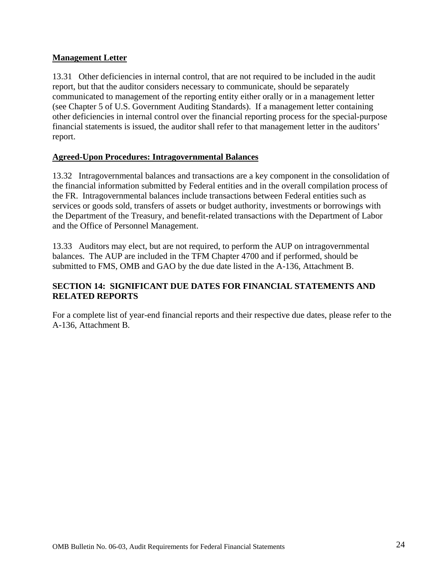### <span id="page-25-0"></span>**Management Letter**

13.31 Other deficiencies in internal control, that are not required to be included in the audit report, but that the auditor considers necessary to communicate, should be separately communicated to management of the reporting entity either orally or in a management letter (see Chapter 5 of U.S. Government Auditing Standards). If a management letter containing other deficiencies in internal control over the financial reporting process for the special-purpose financial statements is issued, the auditor shall refer to that management letter in the auditors' report.

### **Agreed-Upon Procedures: Intragovernmental Balances**

13.32 Intragovernmental balances and transactions are a key component in the consolidation of the financial information submitted by Federal entities and in the overall compilation process of the FR. Intragovernmental balances include transactions between Federal entities such as services or goods sold, transfers of assets or budget authority, investments or borrowings with the Department of the Treasury, and benefit-related transactions with the Department of Labor and the Office of Personnel Management.

13.33 Auditors may elect, but are not required, to perform the AUP on intragovernmental balances. The AUP are included in the TFM Chapter 4700 and if performed, should be submitted to FMS, OMB and GAO by the due date listed in the A-136, Attachment B.

### **SECTION 14: SIGNIFICANT DUE DATES FOR FINANCIAL STATEMENTS AND RELATED REPORTS**

For a complete list of year-end financial reports and their respective due dates, please refer to the A-136, Attachment B*.*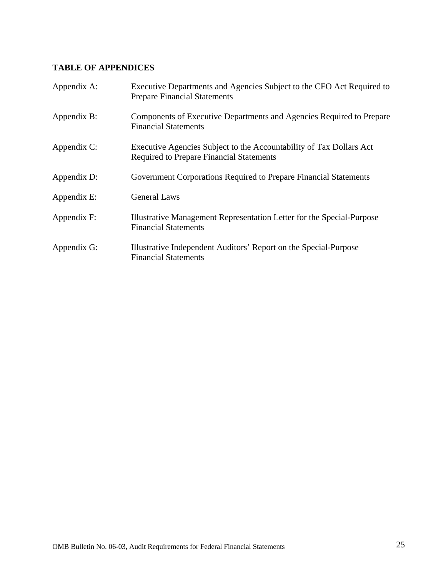# <span id="page-26-0"></span>**TABLE OF APPENDICES**

| Appendix A: | Executive Departments and Agencies Subject to the CFO Act Required to<br><b>Prepare Financial Statements</b>           |  |  |
|-------------|------------------------------------------------------------------------------------------------------------------------|--|--|
| Appendix B: | Components of Executive Departments and Agencies Required to Prepare<br><b>Financial Statements</b>                    |  |  |
| Appendix C: | Executive Agencies Subject to the Accountability of Tax Dollars Act<br><b>Required to Prepare Financial Statements</b> |  |  |
| Appendix D: | Government Corporations Required to Prepare Financial Statements                                                       |  |  |
| Appendix E: | <b>General Laws</b>                                                                                                    |  |  |
| Appendix F: | Illustrative Management Representation Letter for the Special-Purpose<br><b>Financial Statements</b>                   |  |  |
| Appendix G: | Illustrative Independent Auditors' Report on the Special-Purpose<br><b>Financial Statements</b>                        |  |  |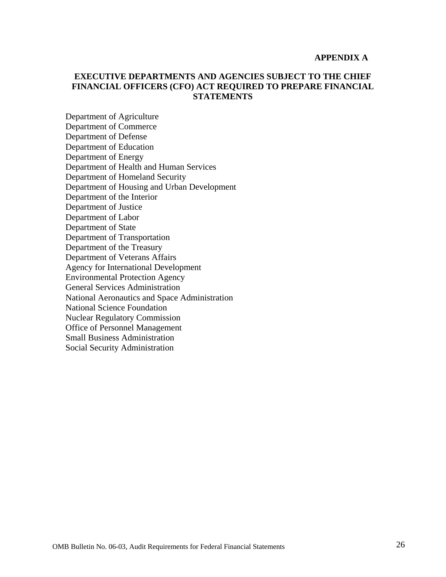#### **APPENDIX A**

### <span id="page-27-0"></span>**EXECUTIVE DEPARTMENTS AND AGENCIES SUBJECT TO THE CHIEF FINANCIAL OFFICERS (CFO) ACT REQUIRED TO PREPARE FINANCIAL STATEMENTS**

Department of Agriculture Department of Commerce Department of Defense Department of Education Department of Energy Department of Health and Human Services Department of Homeland Security Department of Housing and Urban Development Department of the Interior Department of Justice Department of Labor Department of State Department of Transportation Department of the Treasury Department of Veterans Affairs Agency for International Development Environmental Protection Agency General Services Administration National Aeronautics and Space Administration National Science Foundation Nuclear Regulatory Commission Office of Personnel Management Small Business Administration Social Security Administration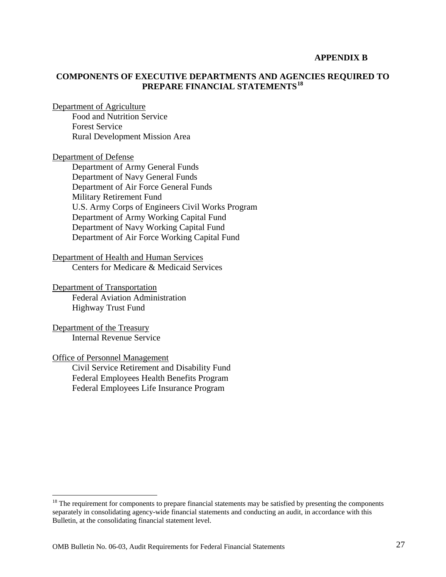#### **APPENDIX B**

### <span id="page-28-0"></span>**COMPONENTS OF EXECUTIVE DEPARTMENTS AND AGENCIES REQUIRED TO PREPARE FINANCIAL STATEMENTS[18](#page-28-1)**

Department of Agriculture

Food and Nutrition Service Forest Service Rural Development Mission Area

Department of Defense

Department of Army General Funds Department of Navy General Funds Department of Air Force General Funds Military Retirement Fund U.S. Army Corps of Engineers Civil Works Program Department of Army Working Capital Fund Department of Navy Working Capital Fund Department of Air Force Working Capital Fund

Department of Health and Human Services Centers for Medicare & Medicaid Services

Department of Transportation Federal Aviation Administration Highway Trust Fund

Department of the Treasury Internal Revenue Service

Office of Personnel Management

 $\overline{a}$ 

Civil Service Retirement and Disability Fund Federal Employees Health Benefits Program Federal Employees Life Insurance Program

<span id="page-28-1"></span><sup>&</sup>lt;sup>18</sup> The requirement for components to prepare financial statements may be satisfied by presenting the components separately in consolidating agency-wide financial statements and conducting an audit, in accordance with this Bulletin, at the consolidating financial statement level.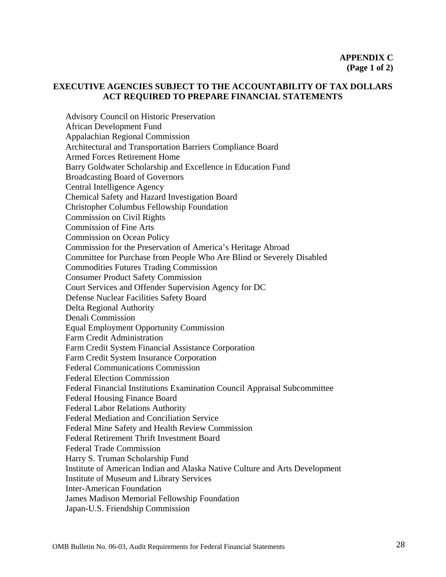#### <span id="page-29-0"></span>**EXECUTIVE AGENCIES SUBJECT TO THE ACCOUNTABILITY OF TAX DOLLARS ACT REQUIRED TO PREPARE FINANCIAL STATEMENTS**

Advisory Council on Historic Preservation African Development Fund Appalachian Regional Commission Architectural and Transportation Barriers Compliance Board Armed Forces Retirement Home Barry Goldwater Scholarship and Excellence in Education Fund Broadcasting Board of Governors Central Intelligence Agency Chemical Safety and Hazard Investigation Board Christopher Columbus Fellowship Foundation Commission on Civil Rights Commission of Fine Arts Commission on Ocean Policy Commission for the Preservation of America's Heritage Abroad Committee for Purchase from People Who Are Blind or Severely Disabled Commodities Futures Trading Commission Consumer Product Safety Commission Court Services and Offender Supervision Agency for DC Defense Nuclear Facilities Safety Board Delta Regional Authority Denali Commission Equal Employment Opportunity Commission Farm Credit Administration Farm Credit System Financial Assistance Corporation Farm Credit System Insurance Corporation Federal Communications Commission Federal Election Commission Federal Financial Institutions Examination Council Appraisal Subcommittee Federal Housing Finance Board Federal Labor Relations Authority Federal Mediation and Conciliation Service Federal Mine Safety and Health Review Commission Federal Retirement Thrift Investment Board Federal Trade Commission Harry S. Truman Scholarship Fund Institute of American Indian and Alaska Native Culture and Arts Development Institute of Museum and Library Services Inter-American Foundation James Madison Memorial Fellowship Foundation Japan-U.S. Friendship Commission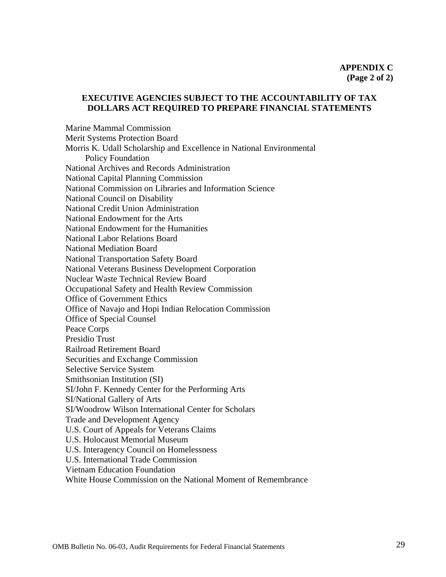### **EXECUTIVE AGENCIES SUBJECT TO THE ACCOUNTABILITY OF TAX DOLLARS ACT REQUIRED TO PREPARE FINANCIAL STATEMENTS**

Marine Mammal Commission Merit Systems Protection Board Morris K. Udall Scholarship and Excellence in National Environmental Policy Foundation National Archives and Records Administration National Capital Planning Commission National Commission on Libraries and Information Science National Council on Disability National Credit Union Administration National Endowment for the Arts National Endowment for the Humanities National Labor Relations Board National Mediation Board National Transportation Safety Board National Veterans Business Development Corporation Nuclear Waste Technical Review Board Occupational Safety and Health Review Commission Office of Government Ethics Office of Navajo and Hopi Indian Relocation Commission Office of Special Counsel Peace Corps Presidio Trust Railroad Retirement Board Securities and Exchange Commission Selective Service System Smithsonian Institution (SI) SI/John F. Kennedy Center for the Performing Arts SI/National Gallery of Arts SI/Woodrow Wilson International Center for Scholars Trade and Development Agency U.S. Court of Appeals for Veterans Claims U.S. Holocaust Memorial Museum U.S. Interagency Council on Homelessness U.S. International Trade Commission Vietnam Education Foundation White House Commission on the National Moment of Remembrance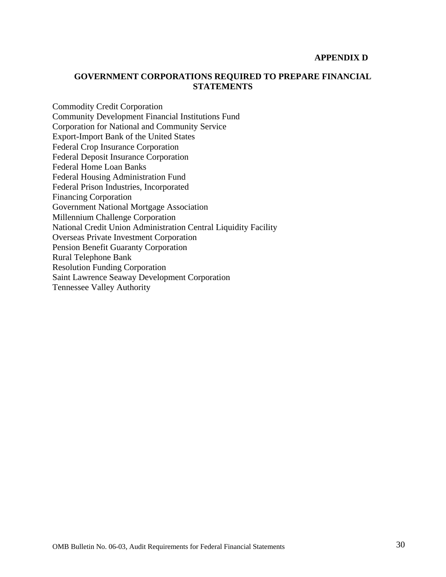#### **APPENDIX D**

### <span id="page-31-0"></span>**GOVERNMENT CORPORATIONS REQUIRED TO PREPARE FINANCIAL STATEMENTS**

Commodity Credit Corporation Community Development Financial Institutions Fund Corporation for National and Community Service Export-Import Bank of the United States Federal Crop Insurance Corporation Federal Deposit Insurance Corporation Federal Home Loan Banks Federal Housing Administration Fund Federal Prison Industries, Incorporated Financing Corporation Government National Mortgage Association Millennium Challenge Corporation National Credit Union Administration Central Liquidity Facility Overseas Private Investment Corporation Pension Benefit Guaranty Corporation Rural Telephone Bank Resolution Funding Corporation Saint Lawrence Seaway Development Corporation Tennessee Valley Authority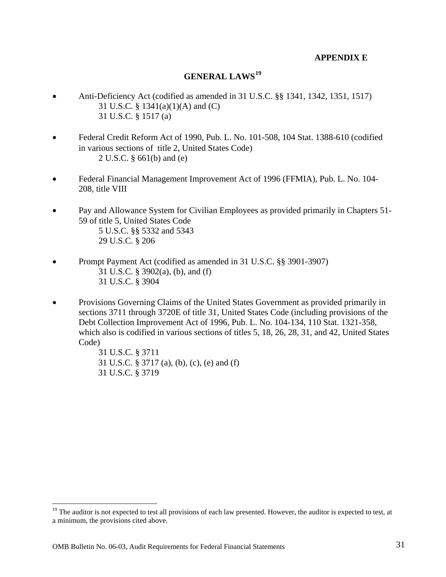### **APPENDIX E**

#### **GENERAL LAWS[19](#page-32-1)**

- <span id="page-32-0"></span>• Anti-Deficiency Act (codified as amended in 31 U.S.C. §§ 1341, 1342, 1351, 1517) 31 U.S.C. § 1341(a)(1)(A) and (C) 31 U.S.C. § 1517 (a)
- Federal Credit Reform Act of 1990, Pub. L. No. 101-508, 104 Stat. 1388-610 (codified in various sections of title 2, United States Code) 2 U.S.C. § 661(b) and (e)
- Federal Financial Management Improvement Act of 1996 (FFMIA), Pub. L. No. 104- 208, title VIII
- Pay and Allowance System for Civilian Employees as provided primarily in Chapters 51- 59 of title 5, United States Code 5 U.S.C. §§ 5332 and 5343 29 U.S.C. § 206
- Prompt Payment Act (codified as amended in 31 U.S.C. §§ 3901-3907) 31 U.S.C. § 3902(a), (b), and (f) 31 U.S.C. § 3904
- Provisions Governing Claims of the United States Government as provided primarily in sections 3711 through 3720E of title 31, United States Code (including provisions of the Debt Collection Improvement Act of 1996, Pub. L. No. 104-134, 110 Stat. 1321-358, which also is codified in various sections of titles 5, 18, 26, 28, 31, and 42, United States Code)

31 U.S.C. § 3711 31 U.S.C. § 3717 (a), (b), (c), (e) and (f) 31 U.S.C. § 3719

 $\overline{a}$ 

<span id="page-32-1"></span><sup>&</sup>lt;sup>19</sup> The auditor is not expected to test all provisions of each law presented. However, the auditor is expected to test, at a minimum, the provisions cited above.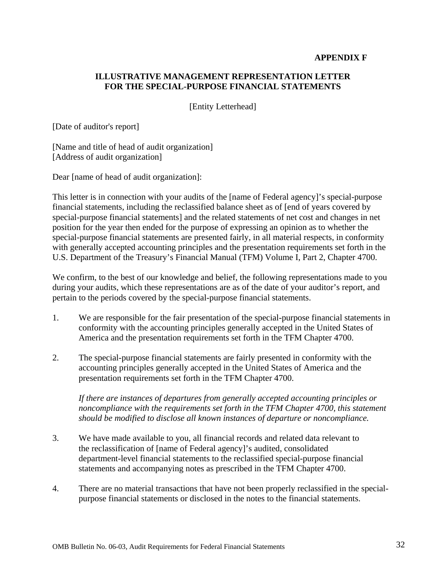### **APPENDIX F**

### <span id="page-33-0"></span>**ILLUSTRATIVE MANAGEMENT REPRESENTATION LETTER FOR THE SPECIAL-PURPOSE FINANCIAL STATEMENTS**

[Entity Letterhead]

[Date of auditor's report]

[Name and title of head of audit organization] [Address of audit organization]

Dear [name of head of audit organization]:

This letter is in connection with your audits of the [name of Federal agency]'s special-purpose financial statements, including the reclassified balance sheet as of [end of years covered by special-purpose financial statements] and the related statements of net cost and changes in net position for the year then ended for the purpose of expressing an opinion as to whether the special-purpose financial statements are presented fairly, in all material respects, in conformity with generally accepted accounting principles and the presentation requirements set forth in the U.S. Department of the Treasury's Financial Manual (TFM) Volume I, Part 2, Chapter 4700.

We confirm, to the best of our knowledge and belief, the following representations made to you during your audits, which these representations are as of the date of your auditor's report, and pertain to the periods covered by the special-purpose financial statements.

- 1. We are responsible for the fair presentation of the special-purpose financial statements in conformity with the accounting principles generally accepted in the United States of America and the presentation requirements set forth in the TFM Chapter 4700.
- 2. The special-purpose financial statements are fairly presented in conformity with the accounting principles generally accepted in the United States of America and the presentation requirements set forth in the TFM Chapter 4700.

*If there are instances of departures from generally accepted accounting principles or noncompliance with the requirements set forth in the TFM Chapter 4700, this statement should be modified to disclose all known instances of departure or noncompliance.* 

- 3. We have made available to you, all financial records and related data relevant to the reclassification of [name of Federal agency]'s audited, consolidated department-level financial statements to the reclassified special-purpose financial statements and accompanying notes as prescribed in the TFM Chapter 4700.
- 4. There are no material transactions that have not been properly reclassified in the specialpurpose financial statements or disclosed in the notes to the financial statements.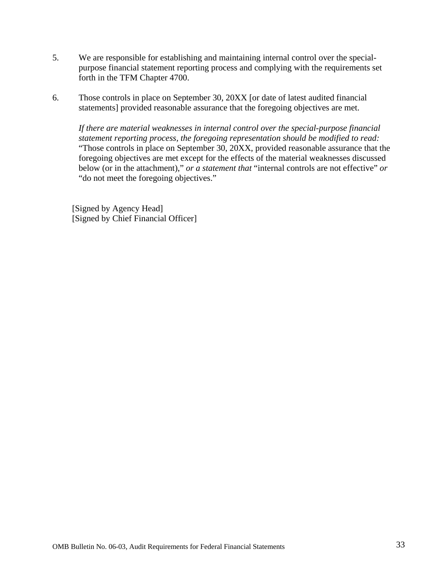- 5. We are responsible for establishing and maintaining internal control over the specialpurpose financial statement reporting process and complying with the requirements set forth in the TFM Chapter 4700.
- 6. Those controls in place on September 30, 20XX [or date of latest audited financial statements] provided reasonable assurance that the foregoing objectives are met.

*If there are material weaknesses in internal control over the special-purpose financial statement reporting process, the foregoing representation should be modified to read:*  "Those controls in place on September 30, 20XX, provided reasonable assurance that the foregoing objectives are met except for the effects of the material weaknesses discussed below (or in the attachment)," *or a statement that* "internal controls are not effective" *or*  "do not meet the foregoing objectives."

[Signed by Agency Head] [Signed by Chief Financial Officer]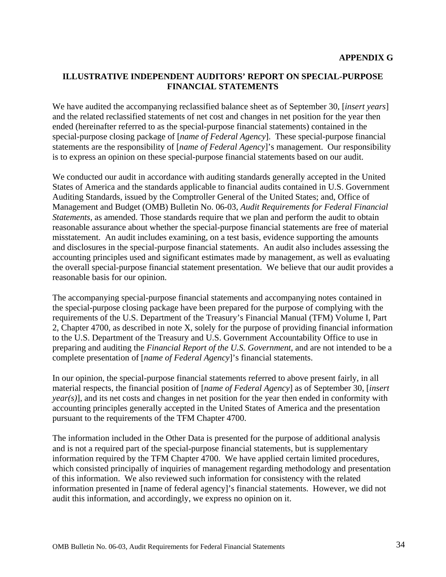### <span id="page-35-0"></span>**ILLUSTRATIVE INDEPENDENT AUDITORS' REPORT ON SPECIAL-PURPOSE FINANCIAL STATEMENTS**

We have audited the accompanying reclassified balance sheet as of September 30, [*insert years*] and the related reclassified statements of net cost and changes in net position for the year then ended (hereinafter referred to as the special-purpose financial statements) contained in the special-purpose closing package of [*name of Federal Agency*]. These special-purpose financial statements are the responsibility of [*name of Federal Agency*]'s management. Our responsibility is to express an opinion on these special-purpose financial statements based on our audit.

We conducted our audit in accordance with auditing standards generally accepted in the United States of America and the standards applicable to financial audits contained in U.S. Government Auditing Standards, issued by the Comptroller General of the United States; and, Office of Management and Budget (OMB) Bulletin No. 06-03, *Audit Requirements for Federal Financial Statements*, as amended. Those standards require that we plan and perform the audit to obtain reasonable assurance about whether the special-purpose financial statements are free of material misstatement. An audit includes examining, on a test basis, evidence supporting the amounts and disclosures in the special-purpose financial statements. An audit also includes assessing the accounting principles used and significant estimates made by management, as well as evaluating the overall special-purpose financial statement presentation. We believe that our audit provides a reasonable basis for our opinion.

The accompanying special-purpose financial statements and accompanying notes contained in the special-purpose closing package have been prepared for the purpose of complying with the requirements of the U.S. Department of the Treasury's Financial Manual (TFM) Volume I, Part 2, Chapter 4700, as described in note X, solely for the purpose of providing financial information to the U.S. Department of the Treasury and U.S. Government Accountability Office to use in preparing and auditing the *Financial Report of the U.S. Government*, and are not intended to be a complete presentation of [*name of Federal Agency*]'s financial statements.

In our opinion, the special-purpose financial statements referred to above present fairly, in all material respects, the financial position of [*name of Federal Agency*] as of September 30, [*insert year(s)*], and its net costs and changes in net position for the year then ended in conformity with accounting principles generally accepted in the United States of America and the presentation pursuant to the requirements of the TFM Chapter 4700.

The information included in the Other Data is presented for the purpose of additional analysis and is not a required part of the special-purpose financial statements, but is supplementary information required by the TFM Chapter 4700. We have applied certain limited procedures, which consisted principally of inquiries of management regarding methodology and presentation of this information. We also reviewed such information for consistency with the related information presented in [name of federal agency]'s financial statements. However, we did not audit this information, and accordingly, we express no opinion on it.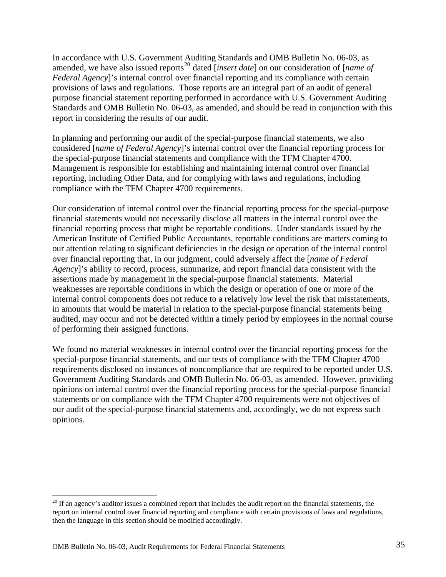In accordance with U.S. Government Auditing Standards and OMB Bulletin No. 06-03, as amended, we have also issued reports<sup>[20](#page-36-0)</sup> dated *[insert date]* on our consideration of *[name of Federal Agency*]'s internal control over financial reporting and its compliance with certain provisions of laws and regulations. Those reports are an integral part of an audit of general purpose financial statement reporting performed in accordance with U.S. Government Auditing Standards and OMB Bulletin No. 06-03, as amended, and should be read in conjunction with this report in considering the results of our audit.

In planning and performing our audit of the special-purpose financial statements, we also considered [*name of Federal Agency*]'s internal control over the financial reporting process for the special-purpose financial statements and compliance with the TFM Chapter 4700. Management is responsible for establishing and maintaining internal control over financial reporting, including Other Data, and for complying with laws and regulations, including compliance with the TFM Chapter 4700 requirements.

Our consideration of internal control over the financial reporting process for the special-purpose financial statements would not necessarily disclose all matters in the internal control over the financial reporting process that might be reportable conditions. Under standards issued by the American Institute of Certified Public Accountants, reportable conditions are matters coming to our attention relating to significant deficiencies in the design or operation of the internal control over financial reporting that, in our judgment, could adversely affect the [*name of Federal Agency*]'s ability to record, process, summarize, and report financial data consistent with the assertions made by management in the special-purpose financial statements. Material weaknesses are reportable conditions in which the design or operation of one or more of the internal control components does not reduce to a relatively low level the risk that misstatements, in amounts that would be material in relation to the special-purpose financial statements being audited, may occur and not be detected within a timely period by employees in the normal course of performing their assigned functions.

We found no material weaknesses in internal control over the financial reporting process for the special-purpose financial statements, and our tests of compliance with the TFM Chapter 4700 requirements disclosed no instances of noncompliance that are required to be reported under U.S. Government Auditing Standards and OMB Bulletin No. 06-03, as amended. However, providing opinions on internal control over the financial reporting process for the special-purpose financial statements or on compliance with the TFM Chapter 4700 requirements were not objectives of our audit of the special-purpose financial statements and, accordingly, we do not express such opinions.

 $\overline{a}$ 

<span id="page-36-0"></span> $20$  If an agency's auditor issues a combined report that includes the audit report on the financial statements, the report on internal control over financial reporting and compliance with certain provisions of laws and regulations, then the language in this section should be modified accordingly.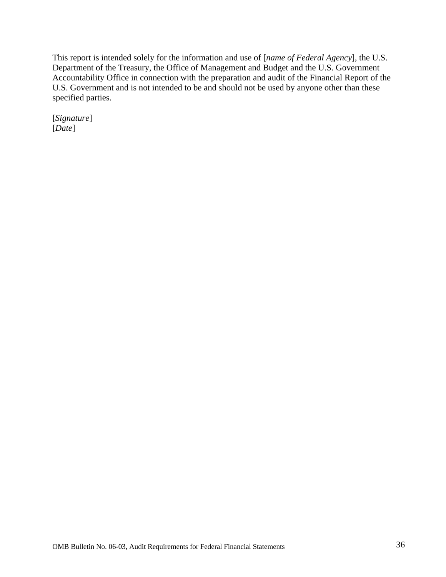This report is intended solely for the information and use of [*name of Federal Agency*], the U.S. Department of the Treasury, the Office of Management and Budget and the U.S. Government Accountability Office in connection with the preparation and audit of the Financial Report of the U.S. Government and is not intended to be and should not be used by anyone other than these specified parties.

[*Signature*] [*Date*]